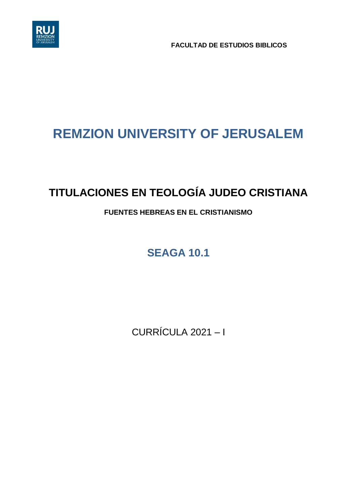

**FACULTAD DE ESTUDIOS BIBLICOS**

# **REMZION UNIVERSITY OF JERUSALEM**

# **TITULACIONES EN TEOLOGÍA JUDEO CRISTIANA**

# **FUENTES HEBREAS EN EL CRISTIANISMO**

**SEAGA 10.1**

CURRÍCULA 2021 – I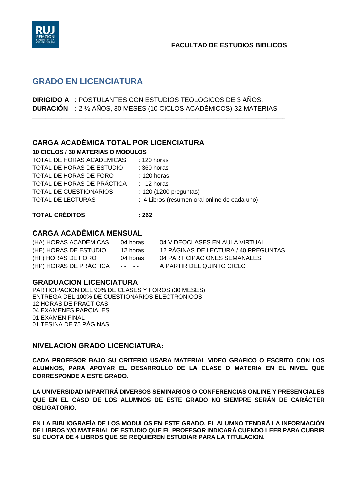

# **GRADO EN LICENCIATURA**

**DIRIGIDO A** : POSTULANTES CON ESTUDIOS TEOLOGICOS DE 3 AÑOS. **DURACIÓN :** 2 ½ AÑOS, 30 MESES (10 CICLOS ACADÉMICOS) 32 MATERIAS

\_\_\_\_\_\_\_\_\_\_\_\_\_\_\_\_\_\_\_\_\_\_\_\_\_\_\_\_\_\_\_\_\_\_\_\_\_\_\_\_\_\_\_\_\_\_\_\_\_\_\_\_\_\_\_\_\_\_\_\_\_\_\_\_\_\_\_\_\_\_\_\_\_\_\_\_\_\_\_\_\_\_\_\_\_\_\_\_\_\_\_\_\_\_\_

#### **CARGA ACADÉMICA TOTAL POR LICENCIATURA 10 CICLOS / 30 MATERIAS O MÓDULOS**

| TU GIGLOS / 30 MATENIAS O MODULOS |                    |  |
|-----------------------------------|--------------------|--|
| TOTAL DE HORAS ACADÉMICAS         | $\div$ 120 horas   |  |
| TOTAL DE HORAS DE ESTUDIO         | $\cdot$ 360 horas. |  |

| TOTAL DE HORAS DE ESTUDIO  | $: 360$ horas                                |
|----------------------------|----------------------------------------------|
| TOTAL DE HORAS DE FORO     | $: 120$ horas                                |
| TOTAL DE HORAS DE PRÁCTICA | $: 12 \text{ horas}$                         |
| TOTAL DE CUESTIONARIOS     | $: 120 (1200)$ preguntas)                    |
| TOTAL DE LECTURAS          | : 4 Libros (resumen oral online de cada uno) |

### **TOTAL CRÉDITOS : 262**

## **CARGA ACADÉMICA MENSUAL**

| (HA) HORAS ACADÉMICAS : 04 horas |                      | 04 VIDEOCLASES EN AULA VIRTUAL       |
|----------------------------------|----------------------|--------------------------------------|
| (HE) HORAS DE ESTUDIO            | $: 12 \text{ horas}$ | 12 PÁGINAS DE LECTURA / 40 PREGUNTAS |
| (HF) HORAS DE FORO               | $: 04$ horas         | 04 PÁRTICIPACIONES SEMANALES         |
| (HP) HORAS DE PRÁCTICA :-- --    |                      | A PARTIR DEL QUINTO CICLO            |
|                                  |                      |                                      |

### **GRADUACION LICENCIATURA**

PARTICIPACIÓN DEL 90% DE CLASES Y FOROS (30 MESES) ENTREGA DEL 100% DE CUESTIONARIOS ELECTRONICOS 12 HORAS DE PRACTICAS 04 EXAMENES PARCIALES 01 EXAMEN FINAL 01 TESINA DE 75 PÁGINAS.

### **NIVELACION GRADO LICENCIATURA:**

**CADA PROFESOR BAJO SU CRITERIO USARA MATERIAL VIDEO GRAFICO O ESCRITO CON LOS ALUMNOS, PARA APOYAR EL DESARROLLO DE LA CLASE O MATERIA EN EL NIVEL QUE CORRESPONDE A ESTE GRADO.**

**LA UNIVERSIDAD IMPARTIRÁ DIVERSOS SEMINARIOS O CONFERENCIAS ONLINE Y PRESENCIALES QUE EN EL CASO DE LOS ALUMNOS DE ESTE GRADO NO SIEMPRE SERÁN DE CARÁCTER OBLIGATORIO.** 

**EN LA BIBLIOGRAFÍA DE LOS MODULOS EN ESTE GRADO, EL ALUMNO TENDRÁ LA INFORMACIÓN DE LIBROS Y/O MATERIAL DE ESTUDIO QUE EL PROFESOR INDICARÁ CUENDO LEER PARA CUBRIR SU CUOTA DE 4 LIBROS QUE SE REQUIEREN ESTUDIAR PARA LA TITULACION.**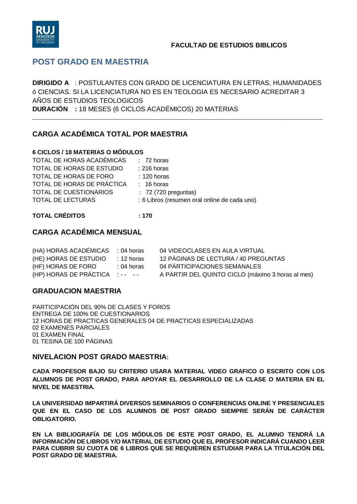

## **POST GRADO EN MAESTRIA**

**DIRIGIDO A** : POSTULANTES CON GRADO DE LICENCIATURA EN LETRAS, HUMANIDADES ó CIENCIAS. SI LA LICENCIATURA NO ES EN TEOLOGIA ES NECESARIO ACREDITAR 3 AÑOS DE ESTUDIOS TEOLOGICOS **DURACIÓN :** 18 MESES (6 CICLOS ACADÉMICOS) 20 MATERIAS

\_\_\_\_\_\_\_\_\_\_\_\_\_\_\_\_\_\_\_\_\_\_\_\_\_\_\_\_\_\_\_\_\_\_\_\_\_\_\_\_\_\_\_\_\_\_\_\_\_\_\_\_\_\_\_\_\_\_\_\_\_\_\_\_\_\_\_\_\_\_\_\_\_\_\_\_\_\_\_\_\_\_\_\_\_\_\_\_\_\_\_\_\_\_\_\_\_\_\_\_\_\_\_\_\_\_\_\_\_

## **CARGA ACADÉMICA TOTAL POR MAESTRIA**

#### **6 CICLOS / 18 MATERIAS O MÓDULOS**

| $: 72 \text{ horas}$                         |
|----------------------------------------------|
| $: 216$ horas                                |
| $: 120$ horas                                |
| $: 16 \text{ horas}$                         |
| $: 72(720)$ preguntas)                       |
| : 6 Libros (resumen oral online de cada uno) |
|                                              |

### **TOTAL CRÉDITOS : 170**

### **CARGA ACADÉMICA MENSUAL**

| (HA) HORAS ACADÉMICAS         | $: 04$ horas | 04 VIDEOCLASES EN AULA VIRTUAL                    |
|-------------------------------|--------------|---------------------------------------------------|
| (HE) HORAS DE ESTUDIO         | ∶ 12 horas ∶ | 12 PÁGINAS DE LECTURA / 40 PREGUNTAS              |
| (HF) HORAS DE FORO            | $: 04$ horas | 04 PÁRTICIPACIONES SEMANALES                      |
| (HP) HORAS DE PRÁCTICA :-- -- |              | A PARTIR DEL QUINTO CICLO (máximo 3 horas al mes) |

### **GRADUACION MAESTRIA**

PARTICIPACIÓN DEL 90% DE CLASES Y FOROS ENTREGA DE 100% DE CUESTIONARIOS 12 HORAS DE PRACTICAS GENERALES 04 DE PRACTICAS ESPECIALIZADAS 02 EXAMENES PARCIALES 01 EXAMEN FINAL 01 TESINA DE 100 PÁGINAS

### **NIVELACION POST GRADO MAESTRIA:**

**CADA PROFESOR BAJO SU CRITERIO USARA MATERIAL VIDEO GRAFICO O ESCRITO CON LOS ALUMNOS DE POST GRADO, PARA APOYAR EL DESARROLLO DE LA CLASE O MATERIA EN EL NIVEL DE MAESTRIA.**

**LA UNIVERSIDAD IMPARTIRÁ DIVERSOS SEMINARIOS O CONFERENCIAS ONLINE Y PRESENCIALES QUE EN EL CASO DE LOS ALUMNOS DE POST GRADO SIEMPRE SERÁN DE CARÁCTER OBLIGATORIO.** 

**EN LA BIBLIOGRAFÍA DE LOS MÓDULOS DE ESTE POST GRADO, EL ALUMNO TENDRÁ LA INFORMACIÓN DE LIBROS Y/O MATERIAL DE ESTUDIO QUE EL PROFESOR INDICARÁ CUANDO LEER PARA CUBRIR SU CUOTA DE 6 LIBROS QUE SE REQUIEREN ESTUDIAR PARA LA TITULACIÓN DEL POST GRADO DE MAESTRIA.**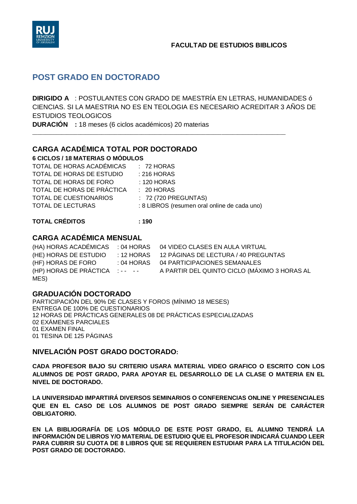

# **POST GRADO EN DOCTORADO**

**DIRIGIDO A** : POSTULANTES CON GRADO DE MAESTRÍA EN LETRAS, HUMANIDADES ó CIENCIAS. SI LA MAESTRIA NO ES EN TEOLOGIA ES NECESARIO ACREDITAR 3 AÑOS DE ESTUDIOS TEOLOGICOS

\_\_\_\_\_\_\_\_\_\_\_\_\_\_\_\_\_\_\_\_\_\_\_\_\_\_\_\_\_\_\_\_\_\_\_\_\_\_\_\_\_\_\_\_\_\_\_\_\_\_\_\_\_\_\_\_\_\_\_\_\_\_\_\_\_\_\_\_\_\_\_\_\_\_\_\_\_\_\_\_\_\_\_\_\_\_\_\_\_\_\_\_\_\_\_

**DURACIÓN :** 18 meses (6 ciclos académicos) 20 materias

### **CARGA ACADÉMICA TOTAL POR DOCTORADO**

**6 CICLOS / 18 MATERIAS O MÓDULOS**

| TOTAL DE HORAS ACADÉMICAS  | $: 72$ HORAS                                 |
|----------------------------|----------------------------------------------|
| TOTAL DE HORAS DE ESTUDIO  | $: 216$ HORAS                                |
| TOTAL DE HORAS DE FORO     | $: 120$ HORAS                                |
| TOTAL DE HORAS DE PRÁCTICA | $\therefore$ 20 HORAS                        |
| TOTAL DE CUESTIONARIOS     | $: 72(720$ PREGUNTAS)                        |
| TOTAL DE LECTURAS          | : 8 LIBROS (resumen oral online de cada uno) |

### **TOTAL CRÉDITOS : 190**

### **CARGA ACADÉMICA MENSUAL**

|                               | (HA) HORAS ACADÉMICAS : 04 HORAS 04 VIDEO CLASES EN AULA VIRTUAL |
|-------------------------------|------------------------------------------------------------------|
| (HE) HORAS DE ESTUDIO         | : 12 HORAS 12 PÁGINAS DE LECTURA / 40 PREGUNTAS                  |
| (HF) HORAS DE FORO            | : 04 HORAS 04 PARTICIPACIONES SEMANALES                          |
| (HP) HORAS DE PRÁCTICA :-- -- | A PARTIR DEL QUINTO CICLO (MÁXIMO 3 HORAS AL                     |
| MES)                          |                                                                  |

### **GRADUACIÓN DOCTORADO**

PARTICIPACIÓN DEL 90% DE CLASES Y FOROS (MÍNIMO 18 MESES) ENTREGA DE 100% DE CUESTIONARIOS 12 HORAS DE PRÁCTICAS GENERALES 08 DE PRÁCTICAS ESPECIALIZADAS 02 EXÁMENES PARCIALES 01 EXAMEN FINAL 01 TESINA DE 125 PÁGINAS

### **NIVELACIÓN POST GRADO DOCTORADO:**

**CADA PROFESOR BAJO SU CRITERIO USARA MATERIAL VIDEO GRAFICO O ESCRITO CON LOS ALUMNOS DE POST GRADO, PARA APOYAR EL DESARROLLO DE LA CLASE O MATERIA EN EL NIVEL DE DOCTORADO.**

**LA UNIVERSIDAD IMPARTIRÁ DIVERSOS SEMINARIOS O CONFERENCIAS ONLINE Y PRESENCIALES QUE EN EL CASO DE LOS ALUMNOS DE POST GRADO SIEMPRE SERÁN DE CARÁCTER OBLIGATORIO.** 

**EN LA BIBLIOGRAFÍA DE LOS MÓDULO DE ESTE POST GRADO, EL ALUMNO TENDRÁ LA INFORMACIÓN DE LIBROS Y/O MATERIAL DE ESTUDIO QUE EL PROFESOR INDICARÁ CUANDO LEER PARA CUBRIR SU CUOTA DE 8 LIBROS QUE SE REQUIEREN ESTUDIAR PARA LA TITULACIÓN DEL POST GRADO DE DOCTORADO.**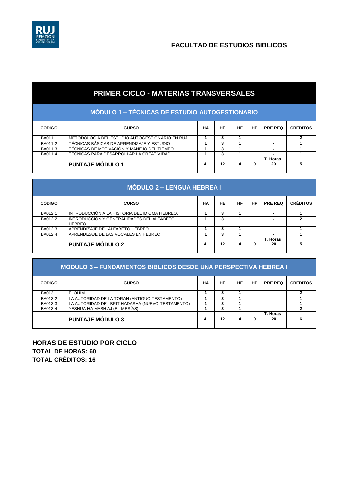

# **PRIMER CICLO - MATERIAS TRANSVERSALES**

|  |  | MODULO 1 – TECNICAS DE ESTUDIO AUTOGESTIONARIO ( |  |
|--|--|--------------------------------------------------|--|
|  |  |                                                  |  |

| <b>CÓDIGO</b> | <b>CURSO</b>                                   | НA | HE | НF | HP | <b>PRE REQ</b> | <b>CRÉDITOS</b> |
|---------------|------------------------------------------------|----|----|----|----|----------------|-----------------|
| BA0111        | METODOLOGÍA DEL ESTUDIO AUTOGESTIONARIO EN RUJ |    |    |    |    | -              |                 |
| BA0112        | TÉCNICAS BÁSICAS DE APRENDIZAJE Y ESTUDIO      |    |    |    |    | ۰              |                 |
| BA0113        | TÉCNICAS DE MOTIVACIÓN Y MANEJO DEL TIEMPO     |    |    |    |    |                |                 |
| BA0114        | TÉCNICAS PARA DESARROLLAR LA CREATIVIDAD       |    |    |    |    |                |                 |
|               | <b>PUNTAJE MÓDULO 1</b>                        |    | 12 | 4  | 0  | T. Horas<br>20 |                 |

| <b>MÓDULO 2 – LENGUA HEBREA I</b> |                                                      |    |    |           |           |                |                 |
|-----------------------------------|------------------------------------------------------|----|----|-----------|-----------|----------------|-----------------|
| <b>CÓDIGO</b>                     | <b>CURSO</b>                                         | НA | HE | <b>HF</b> | <b>HP</b> | <b>PRE REQ</b> | <b>CRÉDITOS</b> |
| BA0121                            | INTRODUCCIÓN A LA HISTORIA DEL IDIOMA HEBREO.        |    | 3  |           |           |                |                 |
| BA0122                            | INTRODUCCIÓN Y GENERALIDADES DEL ALFABETO<br>HEBREO. |    |    |           |           |                |                 |
| BA0123                            | APRENDIZAJE DEL ALFABETO HEBREO.                     |    | 3  |           |           |                |                 |
| BA0124                            | APRENDIZAJE DE LAS VOCALES EN HEBREO                 |    | 3  |           |           |                |                 |
|                                   | <b>PUNTAJE MÓDULO 2</b>                              | 4  | 12 | 4         | 0         | T. Horas<br>20 | 5               |

|               | MÓDULO 3 – FUNDAMENTOS BIBLICOS DESDE UNA PERSPECTIVA HEBREA I |    |    |    |    |                |                 |  |
|---------------|----------------------------------------------------------------|----|----|----|----|----------------|-----------------|--|
| <b>CÓDIGO</b> | <b>CURSO</b>                                                   | НA | HE | HF | HP | <b>PRE REQ</b> | <b>CRÉDITOS</b> |  |
| BA0131        | <b>ELOHIM</b>                                                  |    | 3  |    |    |                |                 |  |
| BA0132        | LA AUTORIDAD DE LA TORAH (ANTIGUO TESTAMENTO)                  |    | 3  |    |    |                |                 |  |
| BA0133        | LA AUTORIDAD DEL BRIT HADASHÁ (NUEVO TESTAMENTO)               |    | 3  |    |    |                |                 |  |
| BA0134        | YESHUA HA MASHIAJ (EL MESÍAS)                                  |    | 3  |    |    |                |                 |  |
|               | <b>PUNTAJE MÓDULO 3</b>                                        | 4  | 12 | 4  | 0  | T. Horas<br>20 |                 |  |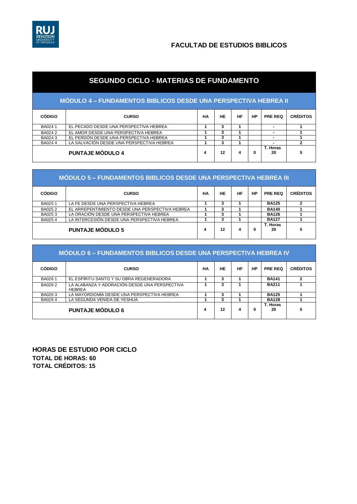

# **SEGUNDO CICLO - MATERIAS DE FUNDAMENTO**

### **MÓDULO 4 – FUNDAMENTOS BIBLICOS DESDE UNA PERSPECTIVA HEBREA II**

| <b>CÓDIGO</b> | <b>CURSO</b>                              | НA | HE     | HF | <b>HP</b> | <b>PRE REQ</b> | <b>CRÉDITOS</b> |
|---------------|-------------------------------------------|----|--------|----|-----------|----------------|-----------------|
| BA0241        | EL PECADO DESDE UNA PERSPECTIVA HEBREA    |    |        |    |           |                |                 |
| <b>BA0242</b> | EL AMOR DESDE UNA PERSPECTIVA HEBREA      |    | c      |    |           |                |                 |
| BA0243        | EL PERDÓN DESDE UNA PERSPECTIVA HEBREA    |    | ∽      |    |           | -              |                 |
| BA0244        | LA SALVACIÓN DESDE UNA PERSPECTIVA HEBREA |    | ∽<br>c |    |           |                |                 |
|               | <b>PUNTAJE MÓDULO 4</b>                   | 4  | 12     | 4  | 0         | T. Horas<br>20 |                 |

| <b>MÓDULO 5 – FUNDAMENTOS BIBLICOS DESDE UNA PERSPECTIVA HEBREA III</b> |                                                 |    |    |    |           |                |                 |  |  |
|-------------------------------------------------------------------------|-------------------------------------------------|----|----|----|-----------|----------------|-----------------|--|--|
| <b>CÓDIGO</b>                                                           | <b>CURSO</b>                                    | НA | HE | НF | <b>HP</b> | PRE REQ        | <b>CRÉDITOS</b> |  |  |
| BA0251                                                                  | LA FE DESDE UNA PERSPECTIVA HEBREA              |    | 3  |    |           | <b>BA125</b>   |                 |  |  |
| BA0252                                                                  | EL ARREPENTIMIENTO DESDE UNA PERSPECTIVA HEBREA |    | 3  |    |           | <b>BA140</b>   |                 |  |  |
| BA0253                                                                  | LA ORACIÓN DESDE UNA PERSPECTIVA HEBREA         |    | 3  |    |           | <b>BA126</b>   |                 |  |  |
| BA0254                                                                  | LA INTERCESIÓN DESDE UNA PERSPECTIVA HEBREA     |    | 3  |    |           | <b>BA127</b>   |                 |  |  |
|                                                                         | <b>PUNTAJE MÓDULO 5</b>                         | 4  | 12 | 4  |           | T. Horas<br>20 | 5               |  |  |

| MÓDULO 6 – FUNDAMENTOS BIBLICOS DESDE UNA PERSPECTIVA HEBREA IV |                                                                |    |    |           |           |                |                 |  |  |  |
|-----------------------------------------------------------------|----------------------------------------------------------------|----|----|-----------|-----------|----------------|-----------------|--|--|--|
| <b>CÓDIGO</b>                                                   | <b>CURSO</b>                                                   | НA | HE | <b>HF</b> | <b>HP</b> | <b>PRE REQ</b> | <b>CRÉDITOS</b> |  |  |  |
| BA0261                                                          | EL ESPÍRITU SANTO Y SU OBRA REGENERADORA                       |    | 3  |           |           | <b>BA141</b>   |                 |  |  |  |
| BA0262                                                          | LA ALABANZA Y ADORACIÓN DESDE UNA PERSPECTIVA<br><b>HEBREA</b> |    | 3  |           |           | <b>BA211</b>   |                 |  |  |  |
| BA0263                                                          | LA MAYORDOMÍA DESDE UNA PERSPECTIVA HEBREA                     |    | 3  |           |           | <b>BA125</b>   |                 |  |  |  |
| BA0264                                                          | LA SEGUNDA VENIDA DE YESHUA                                    |    | 3  |           |           | <b>BA128</b>   |                 |  |  |  |
|                                                                 | <b>PUNTAJE MÓDULO 6</b>                                        | 4  | 12 | 4         | 0         | T. Horas<br>20 |                 |  |  |  |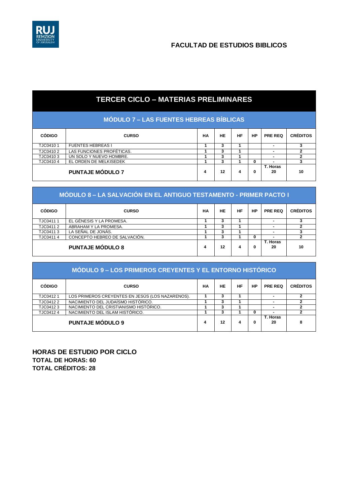

|  | <b>TERCER CICLO – MATERIAS PRELIMINARES</b> |  |
|--|---------------------------------------------|--|
|  |                                             |  |

| MODULO 7 – LAS FUENTES HEBREAS BÍBLICAS ! |  |  |  |  |
|-------------------------------------------|--|--|--|--|
|                                           |  |  |  |  |

| <b>CÓDIGO</b> | <b>CURSO</b>              | НA | HE | НF | HP | <b>PRE REQ</b> | <b>CRÉDITOS</b> |
|---------------|---------------------------|----|----|----|----|----------------|-----------------|
| TJC04101      | <b>FUENTES HEBREAS I</b>  |    |    |    |    |                |                 |
| TJC04102      | LAS FUNCIONES PROFÉTICAS. |    |    |    |    |                |                 |
| TJC04103      | UN SOLO Y NUEVO HOMBRE.   |    |    |    |    |                |                 |
| TJC041044     | EL ORDEN DE MELKISEDEK    |    |    |    |    |                |                 |
|               | <b>PUNTAJE MÓDULO 7</b>   | 4  | 12 | 4  |    | T. Horas<br>20 | 10              |

| MÓDULO 8 – LA SALVACIÓN EN EL ANTIGUO TESTAMENTO - PRIMER PACTO I |                               |    |    |    |    |                |                 |  |  |
|-------------------------------------------------------------------|-------------------------------|----|----|----|----|----------------|-----------------|--|--|
| <b>CÓDIGO</b>                                                     | <b>CURSO</b>                  | НA | HE | HF | HP | <b>PRE REQ</b> | <b>CRÉDITOS</b> |  |  |
| TJC04111                                                          | EL GÉNESIS Y LA PROMESA.      |    | 3  |    |    |                |                 |  |  |
| TJC04112                                                          | ABRAHAM Y LA PROMESA.         |    |    |    |    |                |                 |  |  |
| TJC04113                                                          | LA SEÑAL DE JONÁS.            |    |    |    |    |                |                 |  |  |
| TJC04114                                                          | CONCEPTO HEBREO DE SALVACIÓN. |    | 3  |    | 0  |                |                 |  |  |
|                                                                   | <b>PUNTAJE MÓDULO 8</b>       | 4  | 12 | 4  | 0  | T. Horas<br>20 | 10              |  |  |

| MÓDULO 9 – LOS PRIMEROS CREYENTES Y EL ENTORNO HISTÓRICO |                                                  |    |    |    |    |                |                 |  |  |  |
|----------------------------------------------------------|--------------------------------------------------|----|----|----|----|----------------|-----------------|--|--|--|
| <b>CÓDIGO</b>                                            | <b>CURSO</b>                                     | HА | HE | HF | HP | PRE REQ        | <b>CRÉDITOS</b> |  |  |  |
| TJC04121                                                 | LOS PRIMEROS CREYENTES EN JESÚS (LOS NAZARENOS). |    | 3  |    |    |                |                 |  |  |  |
| TJC04122                                                 | NACIMIENTO DEL JUDAÍSMO HISTÓRICO.               |    | 3  |    |    |                |                 |  |  |  |
| TJC04123                                                 | NACIMIENTO DEL CRISTIANISMO HISTÓRICO.           |    |    |    |    |                |                 |  |  |  |
| TJC04124                                                 | NACIMIENTO DEL ISLAM HISTÓRICO.                  |    |    |    | 0  |                |                 |  |  |  |
|                                                          | <b>PUNTAJE MÓDULO 9</b>                          | 4  | 12 | 4  | 0  | T. Horas<br>20 |                 |  |  |  |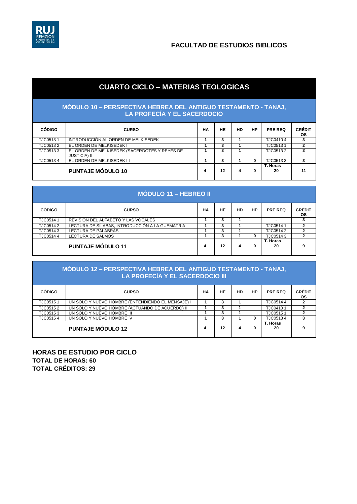

# **CUARTO CICLO – MATERIAS TEOLOGICAS**

#### **MÓDULO 10 – PERSPECTIVA HEBREA DEL ANTIGUO TESTAMENTO - TANAJ, LA PROFECÍA Y EL SACERDOCIO**

| <b>CÓDIGO</b> | <b>CURSO</b>                                                         | НA | HE | HD | <b>HP</b> | <b>PRE REQ</b> | <b>CRÉDIT</b><br><b>OS</b> |
|---------------|----------------------------------------------------------------------|----|----|----|-----------|----------------|----------------------------|
| TJC05131      | INTRODUCCIÓN AL ORDEN DE MELKISEDEK                                  |    |    |    |           | TJC04104       |                            |
| TJC05132      | EL ORDEN DE MELKISEDEK I                                             |    | 3  |    |           | TJC05131       |                            |
| TJC05133      | EL ORDEN DE MELKISEDEK (SACERDOTES Y REYES DE<br><b>JUSTICIA) II</b> |    |    |    |           | TJC05132       | 3                          |
| TJC05134      | EL ORDEN DE MELKISEDEK III                                           |    |    |    |           | TJC05133       | 3                          |
|               | <b>PUNTAJE MÓDULO 10</b>                                             | 4  | 12 | 4  | 0         | T. Horas<br>20 | 11                         |

| <b>MÓDULO 11 – HEBREO II</b> |                                                 |    |    |    |    |                |                            |  |  |
|------------------------------|-------------------------------------------------|----|----|----|----|----------------|----------------------------|--|--|
| <b>CÓDIGO</b>                | <b>CURSO</b>                                    | НA | HE | HD | HP | <b>PRE REQ</b> | <b>CRÉDIT</b><br><b>OS</b> |  |  |
| TJC05141                     | REVISIÓN DEL ALFABETO Y LAS VOCALES             |    | 3  |    |    |                | 3                          |  |  |
| TJC05142                     | LECTURA DE SÍLABAS, INTRODUCCIÓN A LA GUEMATRIA |    | 3  |    |    | TJC05141       | 2                          |  |  |
| TJC05143                     | <b>LECTURA DE PALABRAS</b>                      |    | 3  |    |    | TJC05142       |                            |  |  |
| TJC05144                     | LECTURA DE SALMOS                               |    | 3  |    | 0  | TJC05143       |                            |  |  |
|                              | <b>PUNTAJE MÓDULO 11</b>                        | 4  | 12 | 4  | 0  | T. Horas<br>20 | 9                          |  |  |

### **MÓDULO 12 – PERSPECTIVA HEBREA DEL ANTIGUO TESTAMENTO - TANAJ, LA PROFECÍA Y EL SACERDOCIO III**

| <b>CÓDIGO</b> | <b>CURSO</b>                                      | НA | HE | <b>HD</b> | <b>HP</b> | <b>PRE REQ</b>  | <b>CRÉDIT</b><br><b>OS</b> |
|---------------|---------------------------------------------------|----|----|-----------|-----------|-----------------|----------------------------|
| TJC05151      | UN SOLO Y NUEVO HOMBRE (ENTENDIENDO EL MENSAJE) I |    |    |           |           | TJC05144        |                            |
| TJC05152      | UN SOLO Y NUEVO HOMBRE (ACTUANDO DE ACUERDO) II   |    | 3  |           |           | TJC04101        |                            |
| TJC05153      | UN SOLO Y NUEVO HOMBRE III                        |    |    |           |           | TJC05151        |                            |
| TJC05154      | UN SOLO Y NUEVO HOMBRE IV                         |    | J. |           |           | TJC05134        |                            |
|               | <b>PUNTAJE MÓDULO 12</b>                          | 4  | 12 |           |           | T. Horas<br>-20 | 9                          |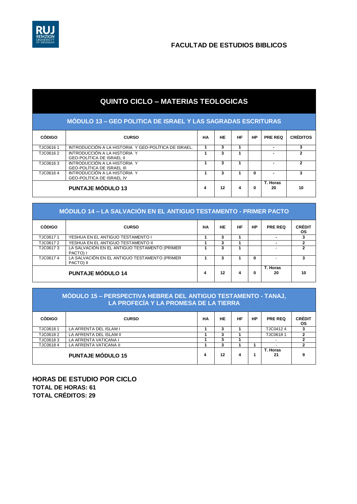

# **QUINTO CICLO – MATERIAS TEOLOGICAS**

| MÓDULO 13 - GEO POLITICA DE ISRAEL Y LAS SAGRADAS ESCRITURAS |                                                                   |    |           |    |    |                |                 |  |  |  |
|--------------------------------------------------------------|-------------------------------------------------------------------|----|-----------|----|----|----------------|-----------------|--|--|--|
| <b>CÓDIGO</b>                                                | <b>CURSO</b>                                                      | НA | <b>HE</b> | HF | HP | PRE REQ        | <b>CRÉDITOS</b> |  |  |  |
| TJC06161                                                     | INTRODUCCIÓN A LA HISTORIA Y GEO-POLÍTICA DE ISRAEL.              |    | 3         |    |    |                |                 |  |  |  |
| TJC06162                                                     | INTRODUCCIÓN A LA HISTORIA Y<br><b>GEO-POLÍTICA DE ISRAEL II</b>  |    | 3         |    |    |                |                 |  |  |  |
| TJC06163                                                     | INTRODUCCIÓN A LA HISTORIA Y<br><b>GEO-POLÍTICA DE ISRAEL III</b> |    | 3         |    |    |                |                 |  |  |  |
| TJC06164                                                     | INTRODUCCIÓN A LA HISTORIA Y<br><b>GEO-POLÍTICA DE ISRAEL IV</b>  |    | 3         |    | 0  |                |                 |  |  |  |
|                                                              | <b>PUNTAJE MÓDULO 13</b>                                          | 4  | 12        |    | 0  | T. Horas<br>20 | 10              |  |  |  |

| MÓDULO 14 – LA SALVACIÓN EN EL ANTIGUO TESTAMENTO - PRIMER PACTO |                                                            |           |    |    |           |                |                            |  |  |  |
|------------------------------------------------------------------|------------------------------------------------------------|-----------|----|----|-----------|----------------|----------------------------|--|--|--|
| <b>CÓDIGO</b>                                                    | <b>CURSO</b>                                               | <b>HA</b> | HE | HF | <b>HP</b> | <b>PRE REQ</b> | <b>CRÉDIT</b><br><b>OS</b> |  |  |  |
| TJC06171                                                         | YESHUA EN EL ANTIGUO TESTAMENTO I                          |           | 3  |    |           |                | 3                          |  |  |  |
| TJC06172                                                         | YESHUA EN EL ANTIGUO TESTAMENTO II                         |           | 3  |    |           |                | 2                          |  |  |  |
| TJC06173                                                         | LA SALVACIÓN EN EL ANTIGUO TESTAMENTO (PRIMER<br>PACTO) I  |           | 3  |    |           |                |                            |  |  |  |
| TJC06174                                                         | LA SALVACIÓN EN EL ANTIGUO TESTAMENTO (PRIMER<br>PACTO) II |           | 3  |    | 0         |                | 3                          |  |  |  |
|                                                                  | <b>PUNTAJE MÓDULO 14</b>                                   | 4         | 12 | 4  | 0         | T. Horas<br>20 | 10                         |  |  |  |

#### **MÓDULO 15 – PERSPECTIVA HEBREA DEL ANTIGUO TESTAMENTO - TANAJ, LA PROFECÍA Y LA PROMESA DE LA TIERRA**

| <b>CÓDIGO</b> | <b>CURSO</b>             | НA | HE | НF | HP | <b>PRE REQ</b>           | <b>CRÉDIT</b><br><b>OS</b> |
|---------------|--------------------------|----|----|----|----|--------------------------|----------------------------|
| TJC06181      | LA AFRENTA DEL ISLAM I   |    |    |    |    | TJC04124                 |                            |
| TJC06182      | LA AFRENTA DEL ISLAM II  |    |    |    |    | TJC06181                 |                            |
| TJC06183      | LA AFRENTA VATICANA I    |    |    |    |    | $\overline{\phantom{0}}$ |                            |
| TJC06184      | LA AFRENTA VATICANA II   |    | J. |    |    |                          |                            |
|               | <b>PUNTAJE MÓDULO 15</b> | 4  | 12 | 4  |    | T. Horas<br>21           | 9                          |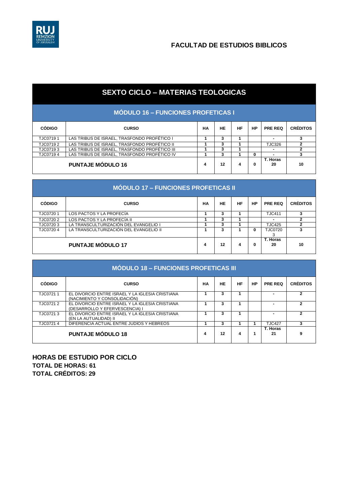

# **SEXTO CICLO – MATERIAS TEOLOGICAS**

| <b>MODULO 16 - FUNCIONES PROFETICAS I</b> |                                               |    |    |    |           |                |                 |  |  |
|-------------------------------------------|-----------------------------------------------|----|----|----|-----------|----------------|-----------------|--|--|
| <b>CÓDIGO</b>                             | <b>CURSO</b>                                  | HА | HE | HF | <b>HP</b> | <b>PRE REQ</b> | <b>CRÉDITOS</b> |  |  |
| TJC07191                                  | LAS TRIBUS DE ISRAEL, TRASFONDO PROFÉTICO I   |    |    |    |           |                |                 |  |  |
| TJC07192                                  | LAS TRIBUS DE ISRAEL. TRASFONDO PROFÉTICO II  |    | 3  |    |           | <b>TJC326</b>  |                 |  |  |
| TJC07193                                  | LAS TRIBUS DE ISRAEL. TRASFONDO PROFÉTICO III |    | 3  |    |           |                |                 |  |  |
| TJC07194                                  | LAS TRIBUS DE ISRAEL. TRASFONDO PROFÉTICO IV  |    | 3  |    | 0         |                |                 |  |  |
|                                           | <b>PUNTAJE MÓDULO 16</b>                      | 4  | 12 | 4  | 0         | T. Horas<br>20 | 10              |  |  |

| <b>MÓDULO 17 – FUNCIONES PROFETICAS II</b> |                                        |           |    |    |           |                     |                 |  |  |
|--------------------------------------------|----------------------------------------|-----------|----|----|-----------|---------------------|-----------------|--|--|
| <b>CÓDIGO</b>                              | <b>CURSO</b>                           | <b>HA</b> | HE | HF | <b>HP</b> | PRE REQ             | <b>CRÉDITOS</b> |  |  |
| TJC07201                                   | LOS PACTOS Y LA PROFECÍA               |           | 3  |    |           | <b>TJC411</b>       |                 |  |  |
| TJC07202                                   | LOS PACTOS Y LA PROFECÍA II            |           |    |    |           |                     |                 |  |  |
| TJC07203                                   | LA TRANSCULTURIZACIÓN DEL EVANGELIO I  |           | 3  |    |           | <b>TJC425</b>       |                 |  |  |
| TJC07204                                   | LA TRANSCULTURIZACIÓN DEL EVANGELIO II |           | 3  |    | 0         | <b>TJC0720</b><br>3 |                 |  |  |
|                                            | <b>PUNTAJE MÓDULO 17</b>               | 4         | 12 | 4  | 0         | T. Horas<br>20      | 10              |  |  |

| <b>MÓDULO 18 - FUNCIONES PROFETICAS III</b> |                                                                                   |    |    |    |           |                |                 |  |  |
|---------------------------------------------|-----------------------------------------------------------------------------------|----|----|----|-----------|----------------|-----------------|--|--|
| <b>CÓDIGO</b>                               | <b>CURSO</b>                                                                      | НA | HE | HF | <b>HP</b> | <b>PRE REQ</b> | <b>CRÉDITOS</b> |  |  |
| TJC07211                                    | EL DIVORCIO ENTRE ISRAEL Y LA IGLESIA CRISTIANA<br>(NACIMIENTO Y CONSOLIDACIÓN)   |    | 3  |    |           |                |                 |  |  |
| TJC07212                                    | EL DIVORCIO ENTRE ISRAEL Y LA IGLESIA CRISTIANA<br>(DESARROLLO Y EFERVESCENCIA) I |    |    |    |           |                |                 |  |  |
| TJC07213                                    | EL DIVORCIO ENTRE ISRAEL Y LA IGLESIA CRISTIANA<br>(EN LA AUTUALIDAD) II          |    | 3  |    |           |                |                 |  |  |
| TJC07214                                    | DIFERENCIA ACTUAL ENTRE JUDIOS Y HEBREOS                                          |    | 3  |    |           | <b>TJC427</b>  | 3               |  |  |
|                                             | <b>PUNTAJE MÓDULO 18</b>                                                          | 4  | 12 | 4  |           | T. Horas<br>21 | 9               |  |  |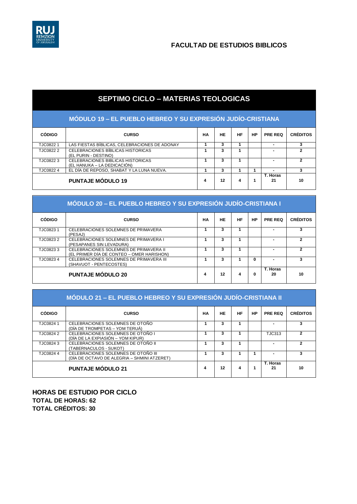

# **SEPTIMO CICLO – MATERIAS TEOLOGICAS**

### **MÓDULO 19 – EL PUEBLO HEBREO Y SU EXPRESIÓN JUDÍO-CRISTIANA**

| <b>CÓDIGO</b> | <b>CURSO</b>                                                     | НA | HE | HF | HP | <b>PRE REQ</b> | <b>CRÉDITOS</b> |
|---------------|------------------------------------------------------------------|----|----|----|----|----------------|-----------------|
| TJC08221      | LAS FIESTAS BÍBLICAS, CELEBRACIONES DE ADONAY                    |    | 3  |    |    |                |                 |
| TJC0822 2     | CELEBRACIONES BIBLICAS HISTORICAS<br>(EL PURIN - DESTINO)        |    |    |    |    |                |                 |
| TJC08223      | CELEBRACIONES BIBLICAS HISTORICAS<br>(EL HANUKA – LA DEDICACIÓN) |    |    |    |    |                |                 |
| TJC08224      | EL DÍA DE REPOSO, SHABAT Y LA LUNA NUEVA.                        |    |    |    |    |                |                 |
|               | <b>PUNTAJE MÓDULO 19</b>                                         | 4  | 12 | 4  |    | T. Horas<br>21 | 10              |

#### **MÓDULO 20 – EL PUEBLO HEBREO Y SU EXPRESIÓN JUDÍO-CRISTIANA I**

| <b>CÓDIGO</b> | <b>CURSO</b>                                                                        | <b>HA</b> | HE | HF | <b>HP</b> | <b>PRE REQ</b> | <b>CRÉDITOS</b> |
|---------------|-------------------------------------------------------------------------------------|-----------|----|----|-----------|----------------|-----------------|
| TJC08231      | CELEBRACIONES SOLEMNES DE PRIMAVERA<br>(PESAJ)                                      |           | 3  |    |           |                |                 |
| TJC08232      | CELEBRACIONES SOLEMNES DE PRIMAVERA I<br>(PESAPANES SIN LEVADURA)                   |           | 3  |    |           |                |                 |
| TJC08233      | CELEBRACIONES SOLEMNES DE PRIMAVERA II<br>(EL PRIMER DÍA DE CONTEO – OMER HARISHON) |           |    |    |           |                |                 |
| TJC08234      | CELEBRACIONES SOLEMNES DE PRIMAVERA III<br>(SHAVUOT - PENTECOSTES)                  |           |    |    | Ω         |                |                 |
|               | <b>PUNTAJE MÓDULO 20</b>                                                            | 4         | 12 | 4  | 0         | T. Horas<br>20 | 10              |

|               | MÓDULO 21 – EL PUEBLO HEBREO Y SU EXPRESIÓN JUDÍO-CRISTIANA II                     |    |    |           |           |                |                 |  |  |  |
|---------------|------------------------------------------------------------------------------------|----|----|-----------|-----------|----------------|-----------------|--|--|--|
| <b>CÓDIGO</b> | <b>CURSO</b>                                                                       | НA | HE | <b>HF</b> | <b>HP</b> | <b>PRE REQ</b> | <b>CRÉDITOS</b> |  |  |  |
| TJC08241      | CELEBRACIONES SOLEMNES DE OTOÑO<br>(DÍA DE TROMPETAS – YOM TERUÁ)                  |    | 3  |           |           |                |                 |  |  |  |
| TJC08242      | CELEBRACIONES SOLEMNES DE OTOÑO I<br>(DÍA DE LA EXPIASIÓN – YOM KIPUR)             |    | 3  |           |           | <b>TJC313</b>  |                 |  |  |  |
| TJC08243      | CELEBRACIONES SOLEMNES DE OTOÑO II<br>(TABERNACULOS - SUKOT)                       |    | 3  |           |           |                |                 |  |  |  |
| TJC0824 4     | CELEBRACIONES SOLEMNES DE OTOÑO III<br>(DÍA DE OCTAVO DE ALEGRIA – SHMINI ATZERET) |    | 3  |           |           |                |                 |  |  |  |
|               | <b>PUNTAJE MÓDULO 21</b>                                                           | 4  | 12 | 4         |           | T. Horas<br>21 | 10              |  |  |  |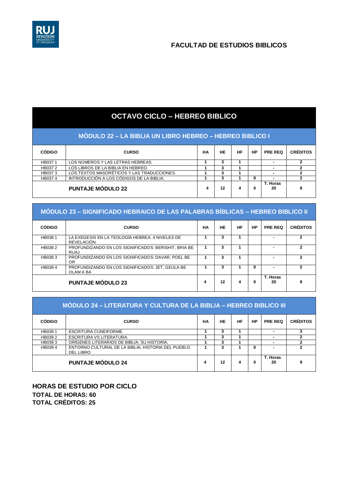

# **OCTAVO CICLO – HEBREO BIBLICO**

### **MÓDULO 22 – LA BIBLIA UN LIBRO HEBREO – HEBREO BIBLICO I**

| <b>CÓDIGO</b> | <b>CURSO</b>                               | HА | HE | HF | <b>HP</b> | <b>PRE REQ</b> | <b>CRÉDITOS</b> |
|---------------|--------------------------------------------|----|----|----|-----------|----------------|-----------------|
| HB0371        | LOS NÚMEROS Y LAS LETRAS HEBREAS.          |    |    |    |           |                |                 |
| HB037 2       | LOS LIBROS DE LA BIBLIA EN HEBREO.         |    |    |    |           |                |                 |
| HB0373        | LOS TEXTOS MASORÉTICOS Y LAS TRADUCCIONES. |    | л  |    |           |                |                 |
| HB0374        | INTRODUCCIÓN A LOS CÓDIGOS DE LA BIBLIA.   |    | л  |    | 0         | -              |                 |
|               | <b>PUNTAJE MÓDULO 22</b>                   |    | 12 | 4  | 0         | T. Horas<br>20 |                 |

### **MÓDULO 23 – SIGNIFICADO HEBRAICO DE LAS PALABRAS BÍBLICAS – HEBREO BIBLICO II**

| <b>CÓDIGO</b> | <b>CURSO</b>                                                        | НA | <b>HE</b> | <b>HF</b> | HP | <b>PRE REQ</b> | <b>CRÉDITOS</b> |
|---------------|---------------------------------------------------------------------|----|-----------|-----------|----|----------------|-----------------|
| HB0381        | LA EXEGESIS EN LA TEOLOGÍA HEBREA. 4 NIVELES DE<br>REVELACIÓN.      |    | 3         |           |    |                |                 |
| HB0382        | PROFUNDIZANDO EN LOS SIGNIFICADOS: BERISHIT, BRIA BE<br><b>RUAJ</b> |    | 3         |           |    |                |                 |
| HB0383        | PROFUNDIZANDO EN LOS SIGNIFICADOS: DAVAR, POEL BE<br>OR.            |    | 3         |           |    |                |                 |
| HB0384        | PROFUNDIZANDO EN LOS SIGNIFICADOS: JET, GEULA BE<br>OLAM A BA       |    | 3         |           | 0  |                |                 |
|               | <b>PUNTAJE MÓDULO 23</b>                                            | 4  | 12        | 4         | 0  | T. Horas<br>20 | 8               |

|               | MÓDULO 24 – LITERATURA Y CULTURA DE LA BIBLIA – HEBREO BIBLICO III |    |    |           |           |                |                 |  |  |  |
|---------------|--------------------------------------------------------------------|----|----|-----------|-----------|----------------|-----------------|--|--|--|
| <b>CÓDIGO</b> | <b>CURSO</b>                                                       | НA | HE | <b>HF</b> | <b>HP</b> | <b>PRE REQ</b> | <b>CRÉDITOS</b> |  |  |  |
| HB039 1       | <b>ESCRITURA CUNEIFORME.</b>                                       |    | 3  |           |           |                |                 |  |  |  |
| HB0392        | <b>ESCRITURA VS LITERATURA.</b>                                    |    | 3  |           |           |                |                 |  |  |  |
| HB0393        | ORÍGENES LITERARIOS DE BIBLIA: SU HISTORIA.                        |    | 3  |           |           |                |                 |  |  |  |
| HB0394        | ENTORNO CULTURAL DE LA BIBLIA, HISTORIA DEL PUEBLO<br>DEL LIBRO    |    | 3  |           | 0         |                |                 |  |  |  |
|               | <b>PUNTAJE MÓDULO 24</b>                                           | 4  | 12 | 4         | 0         | T. Horas<br>20 |                 |  |  |  |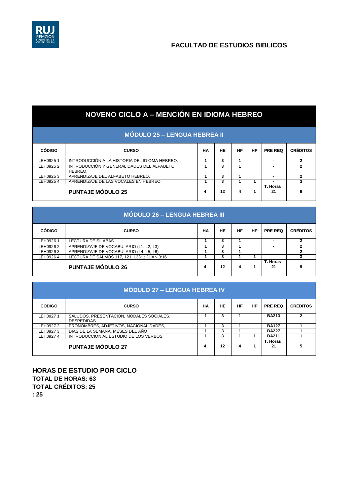

| <b>NOVENO CICLO A – MENCIÓN EN IDIOMA HEBREO</b> |                                                      |    |    |    |           |                |                 |  |  |
|--------------------------------------------------|------------------------------------------------------|----|----|----|-----------|----------------|-----------------|--|--|
| <b>MÓDULO 25 – LENGUA HEBREA II</b>              |                                                      |    |    |    |           |                |                 |  |  |
| <b>CÓDIGO</b>                                    | <b>CURSO</b>                                         | НA | HE | HF | <b>HP</b> | <b>PRE REQ</b> | <b>CRÉDITOS</b> |  |  |
| LEH0925 1                                        | INTRODUCCIÓN A LA HISTORIA DEL IDIOMA HEBREO.        |    | 3  | 1  |           |                |                 |  |  |
| LEH0925 2                                        | INTRODUCCIÓN Y GENERALIDADES DEL ALFABETO<br>HEBREO. |    | 3  |    |           |                |                 |  |  |
| LEH0925 3                                        | APRENDIZAJE DEL ALFABETO HEBREO.                     |    | 3  |    |           | ۰              | 2               |  |  |
| LEH0925 4                                        | APRENDIZAJE DE LAS VOCALES EN HEBREO                 |    | 3  |    | 1         |                | 3               |  |  |
|                                                  | <b>PUNTAJE MÓDULO 25</b>                             | 4  | 12 | 4  | 1         | T. Horas<br>21 | 9               |  |  |

| <b>MÓDULO 26 – LENGUA HEBREA III</b> |                                              |    |    |    |    |                |                 |  |  |  |
|--------------------------------------|----------------------------------------------|----|----|----|----|----------------|-----------------|--|--|--|
| <b>CÓDIGO</b>                        | <b>CURSO</b>                                 | НA | HE | HF | HP | <b>PRE REQ</b> | <b>CRÉDITOS</b> |  |  |  |
| LEH0926 1                            | LECTURA DE SILABAS                           |    | 3  |    |    |                |                 |  |  |  |
| LEH0926 2                            | APRENDIZAJE DE VOCABULARIO (L1, L2, L3)      |    | 3  |    |    |                |                 |  |  |  |
| LEH0926 3                            | APRENDIZAJE DE VOCABULARIO (L4, L5, L6)      |    | 3  |    |    |                |                 |  |  |  |
| LEH0926 4                            | LECTURA DE SALMOS 117, 121, 133:1; JUAN 3:16 |    | 3  |    |    |                |                 |  |  |  |
|                                      | <b>PUNTAJE MÓDULO 26</b>                     | 4  | 12 | 4  |    | T. Horas<br>21 | 9               |  |  |  |

| <b>MÓDULO 27 – LENGUA HEBREA IV</b> |                                                               |           |    |    |    |                |                 |  |
|-------------------------------------|---------------------------------------------------------------|-----------|----|----|----|----------------|-----------------|--|
| <b>CÓDIGO</b>                       | <b>CURSO</b>                                                  | <b>HA</b> | HE | HF | HP | <b>PRE REQ</b> | <b>CRÉDITOS</b> |  |
| LEH09271                            | SALUDOS, PRESENTACION, MODALES SOCIALES,<br><b>DESPEDIDAS</b> |           | 3  |    |    | <b>BA213</b>   | 2               |  |
| LEH09272                            | PRONOMBRES, ADJETIVOS, NACIONALIDADES,                        |           | 3  |    |    | <b>BA127</b>   |                 |  |
| LEH09273                            | DIAS DE LA SEMANA, MESES DEL AÑO                              |           | 3  |    |    | <b>BA227</b>   |                 |  |
| LEH09274                            | INTRODUCCION AL ESTUDIO DE LOS VERBOS                         |           | 3  |    |    | <b>BA211</b>   |                 |  |
|                                     | <b>PUNTAJE MÓDULO 27</b>                                      | 4         | 12 | 4  |    | T. Horas<br>21 |                 |  |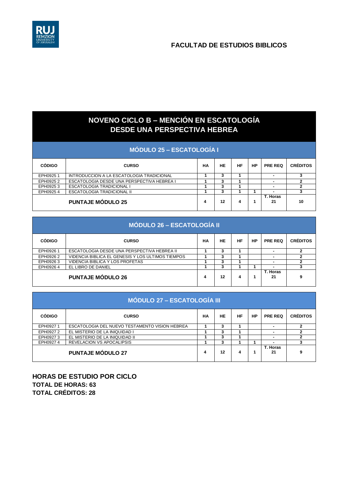

# **NOVENO CICLO B – MENCIÓN EN ESCATOLOGÍA DESDE UNA PERSPECTIVA HEBREA**

|  | MÓDULO 25 – ESCATOLOGÍA I |  |
|--|---------------------------|--|
|  |                           |  |

| <b>CÓDIGO</b> | <b>CURSO</b>                               | НA | HЕ | НF | HP | <b>PRE REQ</b> | <b>CRÉDITOS</b> |
|---------------|--------------------------------------------|----|----|----|----|----------------|-----------------|
| EPH09251      | INTRODUCCION A LA ESCATOLOGIA TRADICIONAL  |    |    |    |    |                |                 |
| EPH09252      | ESCATOLOGIA DESDE UNA PERSPECTIVA HEBREA I |    |    |    |    |                |                 |
| EPH09253      | ESCATOLOGIA TRADICIONAL I                  |    |    |    |    |                |                 |
| EPH09254      | <b>ESCATOLOGIA TRADICIONAL II</b>          |    |    |    |    |                |                 |
|               | <b>PUNTAJE MÓDULO 25</b>                   | 4  | 12 |    |    | T. Horas<br>21 | 10              |

| <b>MÓDULO 26 – ESCATOLOGÍA II</b> |                                                   |    |    |    |    |                          |                 |
|-----------------------------------|---------------------------------------------------|----|----|----|----|--------------------------|-----------------|
| <b>CÓDIGO</b>                     | <b>CURSO</b>                                      | НA | HE | HF | HP | <b>PRE REQ</b>           | <b>CRÉDITOS</b> |
| EPH09261                          | ESCATOLOGIA DESDE UNA PERSPECTIVA HEBREA II       |    | 3  |    |    |                          |                 |
| EPH09262                          | VIDENCIA BIBLICA EL GENESIS Y LOS ULTIMOS TIEMPOS |    | 3  |    |    |                          |                 |
| EPH09263                          | VIDENCIA BIBLICA Y LOS PROFETAS                   |    | 3  |    |    | $\overline{\phantom{0}}$ |                 |
| EPH09264                          | EL LIBRO DE DANIEL                                |    | 3  |    |    |                          |                 |
|                                   | <b>PUNTAJE MÓDULO 26</b>                          | 4  | 12 | 4  |    | T. Horas<br>21           |                 |

| <b>MÓDULO 27 – ESCATOLOGÍA III</b> |                                                |    |    |    |    |                |                 |  |
|------------------------------------|------------------------------------------------|----|----|----|----|----------------|-----------------|--|
| <b>CÓDIGO</b>                      | <b>CURSO</b>                                   | НA | HE | HF | HP | <b>PRE REQ</b> | <b>CRÉDITOS</b> |  |
| EPH09271                           | ESCATOLOGIA DEL NUEVO TESTAMENTO VISION HEBREA |    | 3  |    |    | -              | 2               |  |
| EPH09272                           | EL MISTERIO DE LA INIQUIDAD I                  |    | 3  |    |    |                |                 |  |
| EPH09273                           | EL MISTERIO DE LA INIQUIDAD II                 |    | 3  |    |    | -              |                 |  |
| EPH09274                           | <b>REVELACION VS APOCALIPSIS</b>               |    | 3  |    |    |                |                 |  |
|                                    | <b>PUNTAJE MÓDULO 27</b>                       | 4  | 12 | 4  |    | T. Horas<br>21 | 9               |  |